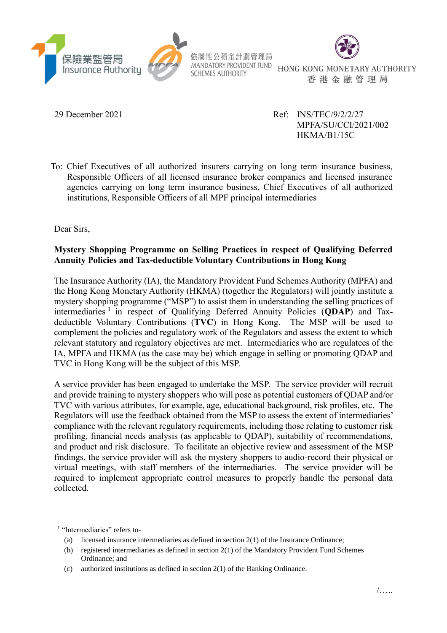



HONG KONG MONETARY AUTHORITY 香港金融管理局

29 December 2021 Ref: INS/TEC/9/2/2/27 MPFA/SU/CCI/2021/002 HKMA/B1/15C

To: Chief Executives of all authorized insurers carrying on long term insurance business, Responsible Officers of all licensed insurance broker companies and licensed insurance agencies carrying on long term insurance business, Chief Executives of all authorized institutions, Responsible Officers of all MPF principal intermediaries

Dear Sirs,

## **Mystery Shopping Programme on Selling Practices in respect of Qualifying Deferred Annuity Policies and Tax-deductible Voluntary Contributions in Hong Kong**

The Insurance Authority (IA), the Mandatory Provident Fund Schemes Authority (MPFA) and the Hong Kong Monetary Authority (HKMA) (together the Regulators) will jointly institute a mystery shopping programme ("MSP") to assist them in understanding the selling practices of intermediaries<sup>1</sup> in respect of Qualifying Deferred Annuity Policies (QDAP) and Taxdeductible Voluntary Contributions (**TVC**) in Hong Kong. The MSP will be used to complement the policies and regulatory work of the Regulators and assess the extent to which relevant statutory and regulatory objectives are met. Intermediaries who are regulatees of the IA, MPFA and HKMA (as the case may be) which engage in selling or promoting QDAP and TVC in Hong Kong will be the subject of this MSP.

A service provider has been engaged to undertake the MSP. The service provider will recruit and provide training to mystery shoppers who will pose as potential customers of QDAP and/or TVC with various attributes, for example, age, educational background, risk profiles, etc. The Regulators will use the feedback obtained from the MSP to assess the extent of intermediaries' compliance with the relevant regulatory requirements, including those relating to customer risk profiling, financial needs analysis (as applicable to QDAP), suitability of recommendations, and product and risk disclosure. To facilitate an objective review and assessment of the MSP findings, the service provider will ask the mystery shoppers to audio-record their physical or virtual meetings, with staff members of the intermediaries. The service provider will be required to implement appropriate control measures to properly handle the personal data collected.

1

<sup>&</sup>lt;sup>1</sup> "Intermediaries" refers to-

<sup>(</sup>a) licensed insurance intermediaries as defined in section  $2(1)$  of the Insurance Ordinance;

<sup>(</sup>b) registered intermediaries as defined in section 2(1) of the Mandatory Provident Fund Schemes Ordinance; and

<sup>(</sup>c) authorized institutions as defined in section 2(1) of the Banking Ordinance.